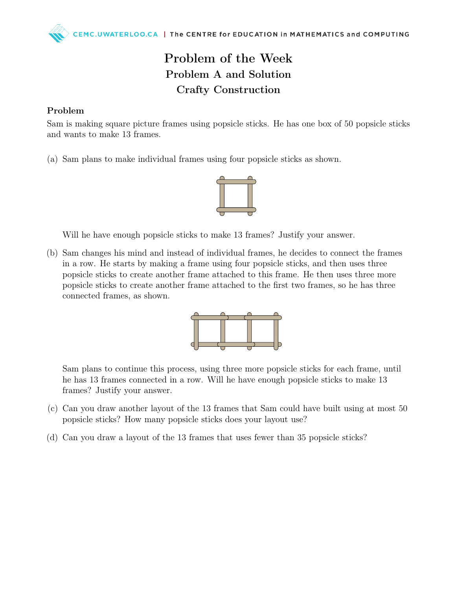## Problem of the Week Problem A and Solution Crafty Construction

## Problem

Sam is making square picture frames using popsicle sticks. He has one box of 50 popsicle sticks and wants to make 13 frames.

(a) Sam plans to make individual frames using four popsicle sticks as shown.



Will he have enough popsicle sticks to make 13 frames? Justify your answer.

(b) Sam changes his mind and instead of individual frames, he decides to connect the frames in a row. He starts by making a frame using four popsicle sticks, and then uses three popsicle sticks to create another frame attached to this frame. He then uses three more popsicle sticks to create another frame attached to the first two frames, so he has three connected frames, as shown.



Sam plans to continue this process, using three more popsicle sticks for each frame, until he has 13 frames connected in a row. Will he have enough popsicle sticks to make 13 frames? Justify your answer.

- (c) Can you draw another layout of the 13 frames that Sam could have built using at most 50 popsicle sticks? How many popsicle sticks does your layout use?
- (d) Can you draw a layout of the 13 frames that uses fewer than 35 popsicle sticks?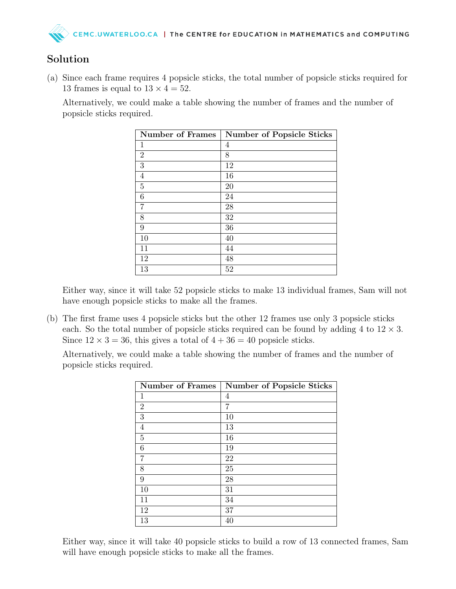## Solution

(a) Since each frame requires 4 popsicle sticks, the total number of popsicle sticks required for 13 frames is equal to  $13 \times 4 = 52$ .

Alternatively, we could make a table showing the number of frames and the number of popsicle sticks required.

| <b>Number of Frames</b> | <b>Number of Popsicle Sticks</b> |
|-------------------------|----------------------------------|
| 1                       | 4                                |
| 2                       | 8                                |
| 3                       | 12                               |
| 4                       | 16                               |
| 5                       | 20                               |
| 6                       | 24                               |
| 7                       | 28                               |
| 8                       | 32                               |
| 9                       | 36                               |
| 10                      | 40                               |
| 11                      | 44                               |
| 12                      | 48                               |
| 13                      | 52                               |

Either way, since it will take 52 popsicle sticks to make 13 individual frames, Sam will not have enough popsicle sticks to make all the frames.

(b) The first frame uses 4 popsicle sticks but the other 12 frames use only 3 popsicle sticks each. So the total number of popsicle sticks required can be found by adding 4 to  $12 \times 3$ . Since  $12 \times 3 = 36$ , this gives a total of  $4 + 36 = 40$  popsicle sticks.

Alternatively, we could make a table showing the number of frames and the number of popsicle sticks required.

| <b>Number of Frames</b> | <b>Number of Popsicle Sticks</b> |
|-------------------------|----------------------------------|
| 1                       | 4                                |
| $\overline{2}$          | 7                                |
| 3                       | 10                               |
| $\overline{4}$          | 13                               |
| 5                       | 16                               |
| 6                       | 19                               |
| 7                       | 22                               |
| 8                       | 25                               |
| 9                       | 28                               |
| 10                      | 31                               |
| 11                      | 34                               |
| 12                      | 37                               |
| 13                      | 40                               |

Either way, since it will take 40 popsicle sticks to build a row of 13 connected frames, Sam will have enough popsicle sticks to make all the frames.